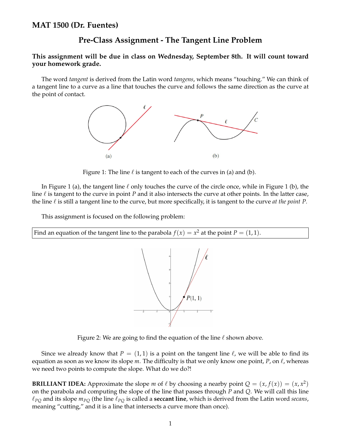## **Pre-Class Assignment - The Tangent Line Problem**

## **This assignment will be due in class on Wednesday, September 8th. It will count toward your homework grade.**

The word *tangent* is derived from the Latin word *tangens*, which means "touching." We can think of a tangent line to a curve as a line that touches the curve and follows the same direction as the curve at the point of contact.



Figure 1: The line  $\ell$  is tangent to each of the curves in (a) and (b).

In Figure 1 (a), the tangent line  $\ell$  only touches the curve of the circle once, while in Figure 1 (b), the line ℓ is tangent to the curve in point *P* and it also intersects the curve at other points. In the latter case, the line  $\ell$  is still a tangent line to the curve, but more specifically, it is tangent to the curve *at the point P*.

This assignment is focused on the following problem:

Find an equation of the tangent line to the parabola  $f(x) = x^2$  at the point  $P = (1,1)$ .



Figure 2: We are going to find the equation of the line  $\ell$  shown above.

Since we already know that  $P = (1, 1)$  is a point on the tangent line  $\ell$ , we will be able to find its equation as soon as we know its slope  $m$ . The difficulty is that we only know one point,  $P$ , on  $\ell$ , whereas we need two points to compute the slope. What do we do?!

**BRILLIANT IDEA:** Approximate the slope *m* of  $\ell$  by choosing a nearby point  $Q = (x, f(x)) = (x, x^2)$ on the parabola and computing the slope of the line that passes through *P* and *Q*. We will call this line  $\ell_{PO}$  and its slope  $m_{PO}$  (the line  $\ell_{PO}$  is called a **seccant line**, which is derived from the Latin word *secans*, meaning "cutting," and it is a line that intersects a curve more than once).